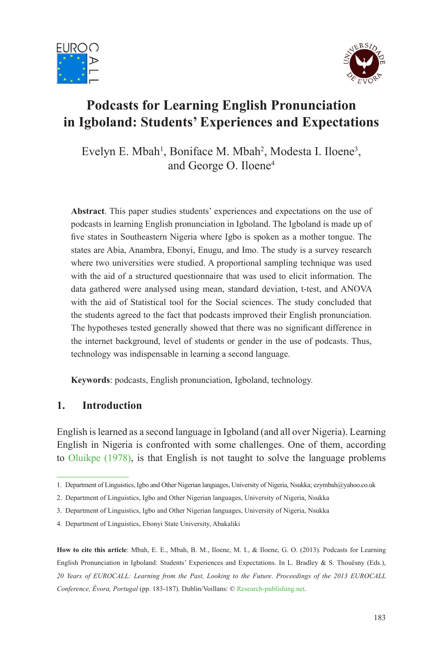



# **Podcasts for Learning English Pronunciation in Igboland: Students' Experiences and Expectations**

Evelyn E. Mbah<sup>1</sup>, Boniface M. Mbah<sup>2</sup>, Modesta I. Iloene<sup>3</sup>, and George O. Iloene4

**Abstract**. This paper studies students' experiences and expectations on the use of podcasts in learning English pronunciation in Igboland. The Igboland is made up of five states in Southeastern Nigeria where Igbo is spoken as a mother tongue. The states are Abia, Anambra, Ebonyi, Enugu, and Imo. The study is a survey research where two universities were studied. A proportional sampling technique was used with the aid of a structured questionnaire that was used to elicit information. The data gathered were analysed using mean, standard deviation, t-test, and ANOVA with the aid of Statistical tool for the Social sciences. The study concluded that the students agreed to the fact that podcasts improved their English pronunciation. The hypotheses tested generally showed that there was no significant difference in the internet background, level of students or gender in the use of podcasts. Thus, technology was indispensable in learning a second language.

**Keywords**: podcasts, English pronunciation, Igboland, technology.

## **1. Introduction**

English is learned as a second language in Igboland (and all over Nigeria). Learning English in Nigeria is confronted with some challenges. One of them, according to Oluikpe (1978), is that English is not taught to solve the language problems

**How to cite this article**: Mbah, E. E., Mbah, B. M., Iloene, M. I., & Iloene, G. O. (2013). Podcasts for Learning English Pronunciation in Igboland: Students' Experiences and Expectations. In L. Bradley & S. Thouësny (Eds.), *20 Years of EUROCALL: Learning from the Past, Looking to the Future*. *Proceedings of the 2013 EUROCALL Conference, Évora, Portugal* (pp. 183-187). Dublin/Voillans: © Research-publishing.net.

<sup>1.</sup> Department of Linguistics, Igbo and Other Nigerian languages, University of Nigeria, Nsukka; ezymbah@yahoo.co.uk

<sup>2.</sup> Department of Linguistics, Igbo and Other Nigerian languages, University of Nigeria, Nsukka

<sup>3.</sup> Department of Linguistics, Igbo and Other Nigerian languages, University of Nigeria, Nsukka

<sup>4.</sup> Department of Linguistics, Ebonyi State University, Abakaliki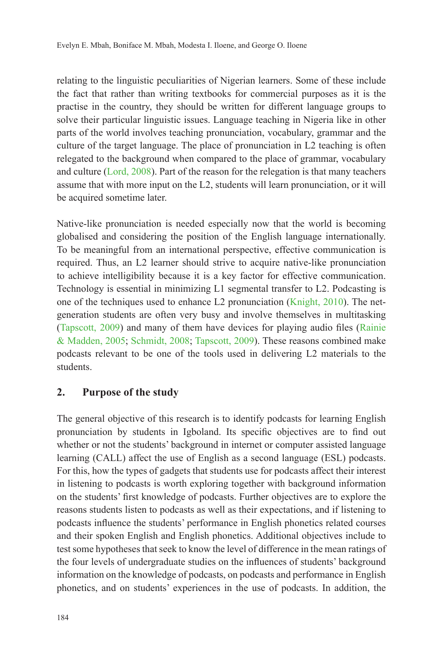relating to the linguistic peculiarities of Nigerian learners. Some of these include the fact that rather than writing textbooks for commercial purposes as it is the practise in the country, they should be written for different language groups to solve their particular linguistic issues. Language teaching in Nigeria like in other parts of the world involves teaching pronunciation, vocabulary, grammar and the culture of the target language. The place of pronunciation in L2 teaching is often relegated to the background when compared to the place of grammar, vocabulary and culture (Lord, 2008). Part of the reason for the relegation is that many teachers assume that with more input on the L2, students will learn pronunciation, or it will be acquired sometime later.

Native-like pronunciation is needed especially now that the world is becoming globalised and considering the position of the English language internationally. To be meaningful from an international perspective, effective communication is required. Thus, an L2 learner should strive to acquire native-like pronunciation to achieve intelligibility because it is a key factor for effective communication. Technology is essential in minimizing L1 segmental transfer to L2. Podcasting is one of the techniques used to enhance L2 pronunciation (Knight, 2010). The netgeneration students are often very busy and involve themselves in multitasking (Tapscott,  $2009$ ) and many of them have devices for playing audio files (Rainie & Madden, 2005; Schmidt, 2008; Tapscott, 2009). These reasons combined make podcasts relevant to be one of the tools used in delivering L2 materials to the students.

## **2. Purpose of the study**

The general objective of this research is to identify podcasts for learning English pronunciation by students in Igboland. Its specific objectives are to find out whether or not the students' background in internet or computer assisted language learning (CALL) affect the use of English as a second language (ESL) podcasts. For this, how the types of gadgets that students use for podcasts affect their interest in listening to podcasts is worth exploring together with background information on the students' first knowledge of podcasts. Further objectives are to explore the reasons students listen to podcasts as well as their expectations, and if listening to podcasts influence the students' performance in English phonetics related courses and their spoken English and English phonetics. Additional objectives include to test some hypotheses that seek to know the level of difference in the mean ratings of the four levels of undergraduate studies on the influences of students' background information on the knowledge of podcasts, on podcasts and performance in English phonetics, and on students' experiences in the use of podcasts. In addition, the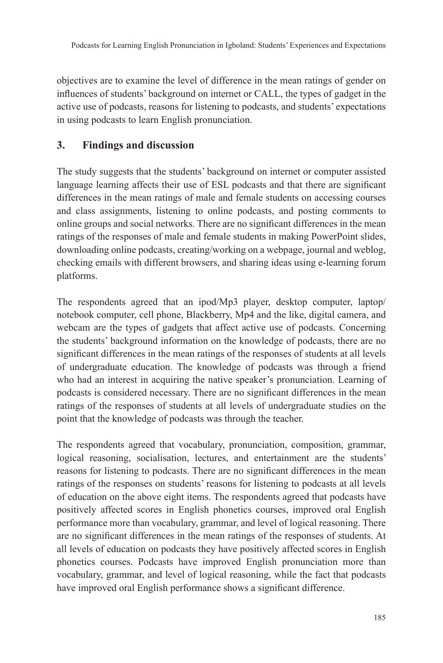objectives are to examine the level of difference in the mean ratings of gender on influences of students' background on internet or CALL, the types of gadget in the active use of podcasts, reasons for listening to podcasts, and students' expectations in using podcasts to learn English pronunciation.

## **3. Findings and discussion**

The study suggests that the students' background on internet or computer assisted language learning affects their use of ESL podcasts and that there are significant differences in the mean ratings of male and female students on accessing courses and class assignments, listening to online podcasts, and posting comments to online groups and social networks. There are no significant differences in the mean ratings of the responses of male and female students in making PowerPoint slides, downloading online podcasts, creating/working on a webpage, journal and weblog, checking emails with different browsers, and sharing ideas using e-learning forum platforms.

The respondents agreed that an ipod/Mp3 player, desktop computer, laptop/ notebook computer, cell phone, Blackberry, Mp4 and the like, digital camera, and webcam are the types of gadgets that affect active use of podcasts. Concerning the students' background information on the knowledge of podcasts, there are no significant differences in the mean ratings of the responses of students at all levels of undergraduate education. The knowledge of podcasts was through a friend who had an interest in acquiring the native speaker's pronunciation. Learning of podcasts is considered necessary. There are no significant differences in the mean ratings of the responses of students at all levels of undergraduate studies on the point that the knowledge of podcasts was through the teacher.

The respondents agreed that vocabulary, pronunciation, composition, grammar, logical reasoning, socialisation, lectures, and entertainment are the students' reasons for listening to podcasts. There are no significant differences in the mean ratings of the responses on students' reasons for listening to podcasts at all levels of education on the above eight items. The respondents agreed that podcasts have positively affected scores in English phonetics courses, improved oral English performance more than vocabulary, grammar, and level of logical reasoning. There are no significant differences in the mean ratings of the responses of students. At all levels of education on podcasts they have positively affected scores in English phonetics courses. Podcasts have improved English pronunciation more than vocabulary, grammar, and level of logical reasoning, while the fact that podcasts have improved oral English performance shows a significant difference.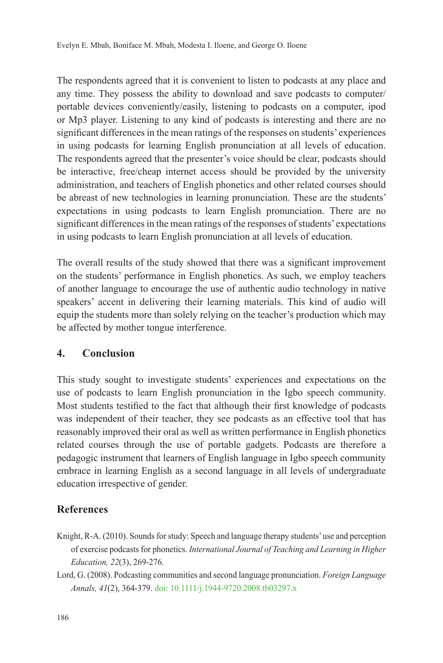The respondents agreed that it is convenient to listen to podcasts at any place and any time. They possess the ability to download and save podcasts to computer/ portable devices conveniently/easily, listening to podcasts on a computer, ipod or Mp3 player. Listening to any kind of podcasts is interesting and there are no significant differences in the mean ratings of the responses on students' experiences in using podcasts for learning English pronunciation at all levels of education. The respondents agreed that the presenter's voice should be clear, podcasts should be interactive, free/cheap internet access should be provided by the university administration, and teachers of English phonetics and other related courses should be abreast of new technologies in learning pronunciation. These are the students' expectations in using podcasts to learn English pronunciation. There are no significant differences in the mean ratings of the responses of students' expectations in using podcasts to learn English pronunciation at all levels of education.

The overall results of the study showed that there was a significant improvement on the students' performance in English phonetics. As such, we employ teachers of another language to encourage the use of authentic audio technology in native speakers' accent in delivering their learning materials. This kind of audio will equip the students more than solely relying on the teacher's production which may be affected by mother tongue interference.

## **4. Conclusion**

This study sought to investigate students' experiences and expectations on the use of podcasts to learn English pronunciation in the Igbo speech community. Most students testified to the fact that although their first knowledge of podcasts was independent of their teacher, they see podcasts as an effective tool that has reasonably improved their oral as well as written performance in English phonetics related courses through the use of portable gadgets. Podcasts are therefore a pedagogic instrument that learners of English language in Igbo speech community embrace in learning English as a second language in all levels of undergraduate education irrespective of gender.

## **References**

- Knight, R-A. (2010). Sounds for study: Speech and language therapy students' use and perception of exercise podcasts for phonetics. *International Journal of Teaching and Learning in Higher Education, 22*(3), 269-276.
- Lord, G. (2008). Podcasting communities and second language pronunciation. *Foreign Language Annals, 41*(2), 364-379. doi: 10.1111/j.1944-9720.2008.tb03297.x